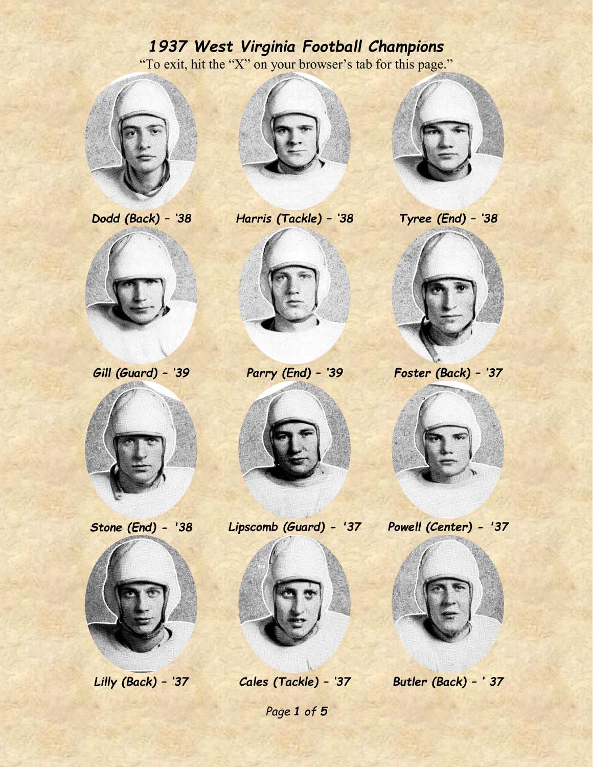## *1937 West Virginia Football Champions* "To exit, hit the "X" on your browser's tab for this page."







*Dodd (Back) – '38 Harris (Tackle) – '38 Tyree (End) – '38*







*Gill (Guard) – '39 Parry (End) – '39 Foster (Back) – '37*











*Stone (End) - '38 Lipscomb (Guard) - '37 Powell (Center) - '37*







*Page 1 of 5*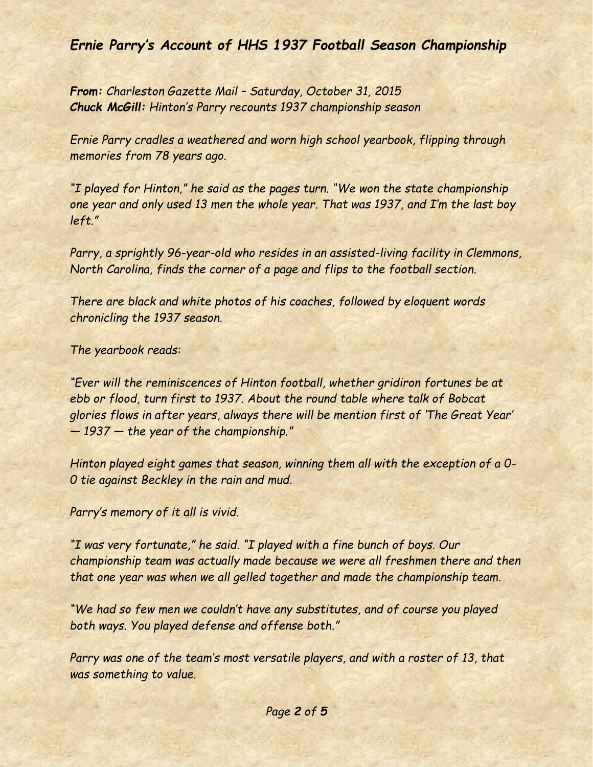*Ernie Parry's Account of HHS 1937 Football Season Championship*

*From: Charleston Gazette Mail – Saturday, October 31, 2015 Chuck McGill: Hinton's Parry recounts 1937 championship season*

*Ernie Parry cradles a weathered and worn high school yearbook, flipping through memories from 78 years ago.*

*"I played for Hinton," he said as the pages turn. "We won the state championship one year and only used 13 men the whole year. That was 1937, and I'm the last boy left."*

*Parry, a sprightly 96-year-old who resides in an assisted-living facility in Clemmons, North Carolina, finds the corner of a page and flips to the football section.*

*There are black and white photos of his coaches, followed by eloquent words chronicling the 1937 season.*

*The yearbook reads:*

*"Ever will the reminiscences of Hinton football, whether gridiron fortunes be at ebb or flood, turn first to 1937. About the round table where talk of Bobcat glories flows in after years, always there will be mention first of 'The Great Year' — 1937 — the year of the championship."*

*Hinton played eight games that season, winning them all with the exception of a 0- 0 tie against Beckley in the rain and mud.*

*Parry's memory of it all is vivid.*

*"I was very fortunate," he said. "I played with a fine bunch of boys. Our championship team was actually made because we were all freshmen there and then that one year was when we all gelled together and made the championship team.*

*"We had so few men we couldn't have any substitutes, and of course you played both ways. You played defense and offense both."*

*Parry was one of the team's most versatile players, and with a roster of 13, that was something to value.*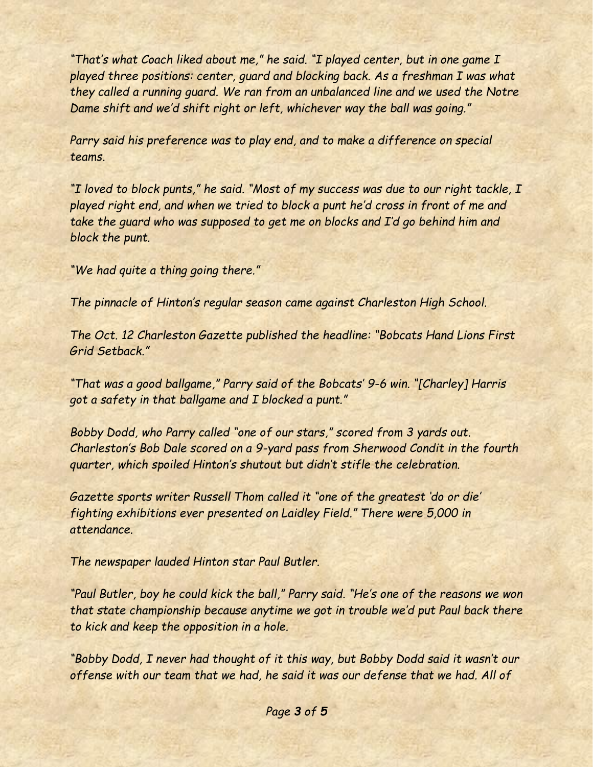*"That's what Coach liked about me," he said. "I played center, but in one game I played three positions: center, guard and blocking back. As a freshman I was what they called a running guard. We ran from an unbalanced line and we used the Notre Dame shift and we'd shift right or left, whichever way the ball was going."*

*Parry said his preference was to play end, and to make a difference on special teams.*

*"I loved to block punts," he said. "Most of my success was due to our right tackle, I played right end, and when we tried to block a punt he'd cross in front of me and take the guard who was supposed to get me on blocks and I'd go behind him and block the punt.*

*"We had quite a thing going there."*

*The pinnacle of Hinton's regular season came against Charleston High School.*

*The Oct. 12 Charleston Gazette published the headline: "Bobcats Hand Lions First Grid Setback."*

*"That was a good ballgame," Parry said of the Bobcats' 9-6 win. "[Charley] Harris got a safety in that ballgame and I blocked a punt."*

*Bobby Dodd, who Parry called "one of our stars," scored from 3 yards out. Charleston's Bob Dale scored on a 9-yard pass from Sherwood Condit in the fourth quarter, which spoiled Hinton's shutout but didn't stifle the celebration.*

*Gazette sports writer Russell Thom called it "one of the greatest 'do or die' fighting exhibitions ever presented on Laidley Field." There were 5,000 in attendance.*

*The newspaper lauded Hinton star Paul Butler.*

*"Paul Butler, boy he could kick the ball," Parry said. "He's one of the reasons we won that state championship because anytime we got in trouble we'd put Paul back there to kick and keep the opposition in a hole.*

*"Bobby Dodd, I never had thought of it this way, but Bobby Dodd said it wasn't our offense with our team that we had, he said it was our defense that we had. All of*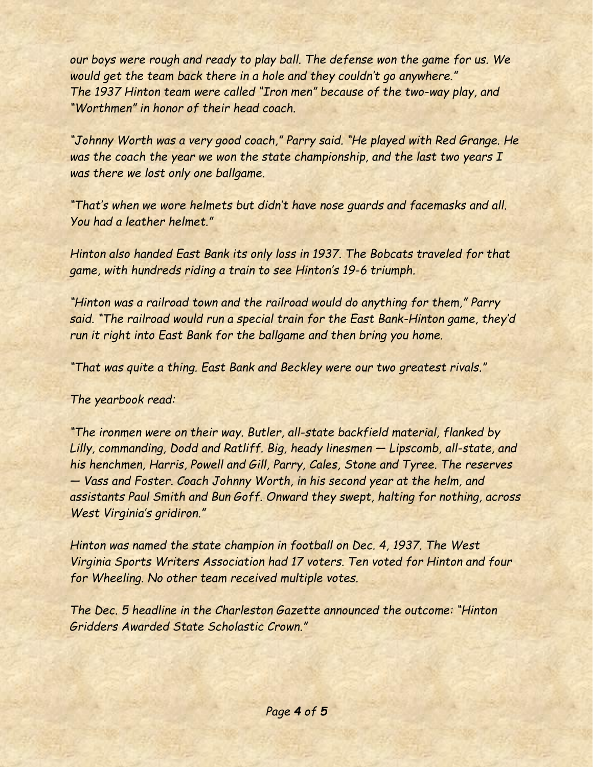*our boys were rough and ready to play ball. The defense won the game for us. We would get the team back there in a hole and they couldn't go anywhere." The 1937 Hinton team were called "Iron men" because of the two-way play, and "Worthmen" in honor of their head coach.*

*"Johnny Worth was a very good coach," Parry said. "He played with Red Grange. He was the coach the year we won the state championship, and the last two years I was there we lost only one ballgame.*

*"That's when we wore helmets but didn't have nose guards and facemasks and all. You had a leather helmet."*

*Hinton also handed East Bank its only loss in 1937. The Bobcats traveled for that game, with hundreds riding a train to see Hinton's 19-6 triumph.*

*"Hinton was a railroad town and the railroad would do anything for them," Parry said. "The railroad would run a special train for the East Bank-Hinton game, they'd run it right into East Bank for the ballgame and then bring you home.*

*"That was quite a thing. East Bank and Beckley were our two greatest rivals."*

*The yearbook read:*

*"The ironmen were on their way. Butler, all-state backfield material, flanked by Lilly, commanding, Dodd and Ratliff. Big, heady linesmen — Lipscomb, all-state, and his henchmen, Harris, Powell and Gill, Parry, Cales, Stone and Tyree. The reserves — Vass and Foster. Coach Johnny Worth, in his second year at the helm, and assistants Paul Smith and Bun Goff. Onward they swept, halting for nothing, across West Virginia's gridiron."*

*Hinton was named the state champion in football on Dec. 4, 1937. The West Virginia Sports Writers Association had 17 voters. Ten voted for Hinton and four for Wheeling. No other team received multiple votes.*

*The Dec. 5 headline in the Charleston Gazette announced the outcome: "Hinton Gridders Awarded State Scholastic Crown."*